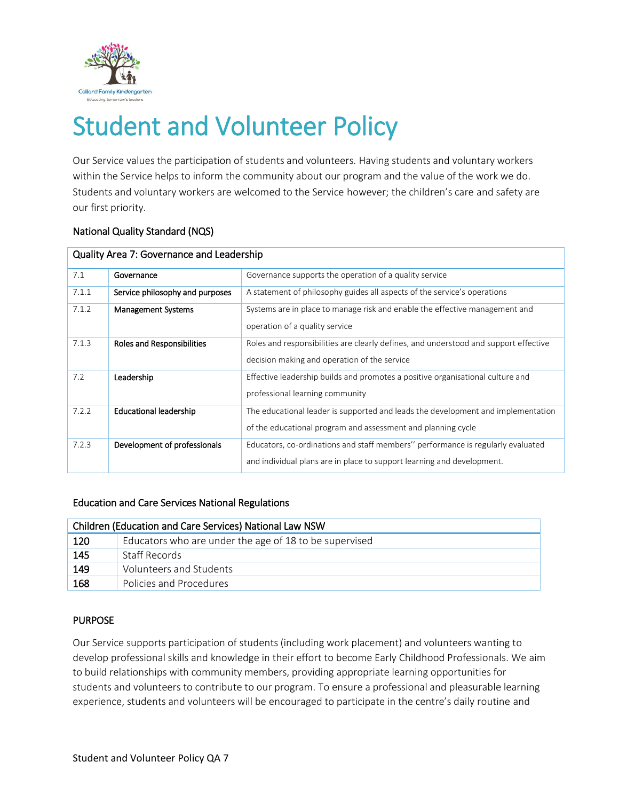

# Student and Volunteer Policy

Our Service values the participation of students and volunteers. Having students and voluntary workers within the Service helps to inform the community about our program and the value of the work we do. Students and voluntary workers are welcomed to the Service however; the children's care and safety are our first priority.

#### National Quality Standard (NQS)

| Quality Area 7: Governance and Leadership |                                   |                                                                                                                                                           |  |  |
|-------------------------------------------|-----------------------------------|-----------------------------------------------------------------------------------------------------------------------------------------------------------|--|--|
| 7.1                                       | Governance                        | Governance supports the operation of a quality service                                                                                                    |  |  |
| 7.1.1                                     | Service philosophy and purposes   | A statement of philosophy guides all aspects of the service's operations                                                                                  |  |  |
| 7.1.2                                     | <b>Management Systems</b>         | Systems are in place to manage risk and enable the effective management and<br>operation of a quality service                                             |  |  |
| 7.1.3                                     | <b>Roles and Responsibilities</b> | Roles and responsibilities are clearly defines, and understood and support effective<br>decision making and operation of the service                      |  |  |
| 7.2                                       | Leadership                        | Effective leadership builds and promotes a positive organisational culture and<br>professional learning community                                         |  |  |
| 7.2.2                                     | <b>Educational leadership</b>     | The educational leader is supported and leads the development and implementation<br>of the educational program and assessment and planning cycle          |  |  |
| 7.2.3                                     | Development of professionals      | Educators, co-ordinations and staff members" performance is regularly evaluated<br>and individual plans are in place to support learning and development. |  |  |

#### Education and Care Services National Regulations

| Children (Education and Care Services) National Law NSW |                                                        |  |  |
|---------------------------------------------------------|--------------------------------------------------------|--|--|
| 120                                                     | Educators who are under the age of 18 to be supervised |  |  |
| 145                                                     | Staff Records                                          |  |  |
| 149                                                     | Volunteers and Students                                |  |  |
| 168                                                     | Policies and Procedures                                |  |  |

## **PURPOSE**

Our Service supports participation of students (including work placement) and volunteers wanting to develop professional skills and knowledge in their effort to become Early Childhood Professionals. We aim to build relationships with community members, providing appropriate learning opportunities for students and volunteers to contribute to our program. To ensure a professional and pleasurable learning experience, students and volunteers will be encouraged to participate in the centre's daily routine and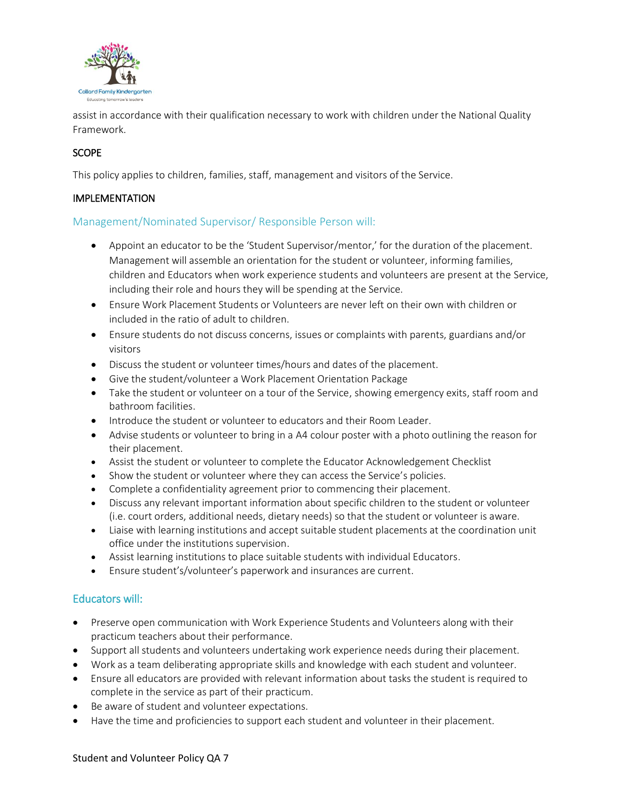

assist in accordance with their qualification necessary to work with children under the National Quality Framework.

## **SCOPE**

This policy applies to children, families, staff, management and visitors of the Service.

## IMPLEMENTATION

#### Management/Nominated Supervisor/ Responsible Person will:

- Appoint an educator to be the 'Student Supervisor/mentor,' for the duration of the placement. Management will assemble an orientation for the student or volunteer, informing families, children and Educators when work experience students and volunteers are present at the Service, including their role and hours they will be spending at the Service.
- Ensure Work Placement Students or Volunteers are never left on their own with children or included in the ratio of adult to children.
- Ensure students do not discuss concerns, issues or complaints with parents, guardians and/or visitors
- Discuss the student or volunteer times/hours and dates of the placement.
- Give the student/volunteer a Work Placement Orientation Package
- Take the student or volunteer on a tour of the Service, showing emergency exits, staff room and bathroom facilities.
- Introduce the student or volunteer to educators and their Room Leader.
- Advise students or volunteer to bring in a A4 colour poster with a photo outlining the reason for their placement.
- Assist the student or volunteer to complete the Educator Acknowledgement Checklist
- Show the student or volunteer where they can access the Service's policies.
- Complete a confidentiality agreement prior to commencing their placement.
- Discuss any relevant important information about specific children to the student or volunteer (i.e. court orders, additional needs, dietary needs) so that the student or volunteer is aware.
- Liaise with learning institutions and accept suitable student placements at the coordination unit office under the institutions supervision.
- Assist learning institutions to place suitable students with individual Educators.
- Ensure student's/volunteer's paperwork and insurances are current.

## Educators will:

- Preserve open communication with Work Experience Students and Volunteers along with their practicum teachers about their performance.
- Support all students and volunteers undertaking work experience needs during their placement.
- Work as a team deliberating appropriate skills and knowledge with each student and volunteer.
- Ensure all educators are provided with relevant information about tasks the student is required to complete in the service as part of their practicum.
- Be aware of student and volunteer expectations.
- Have the time and proficiencies to support each student and volunteer in their placement.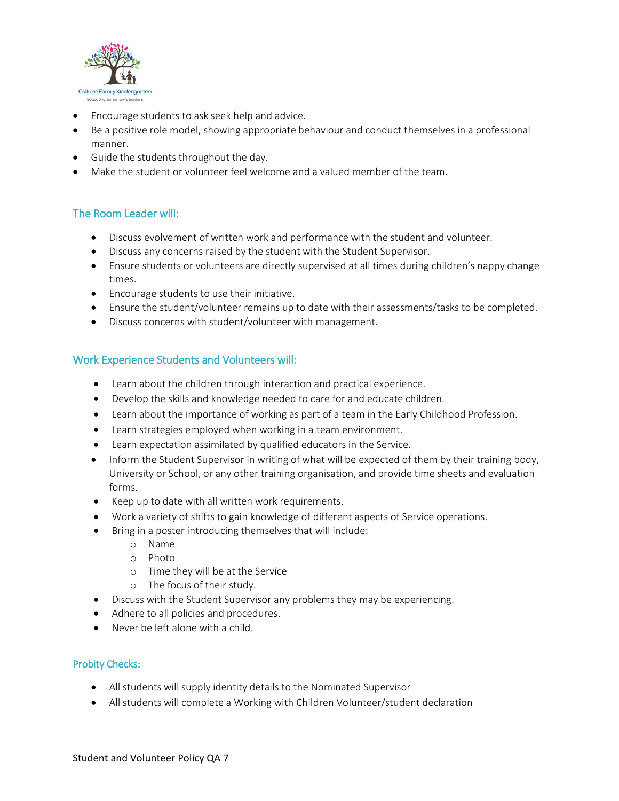

- Encourage students to ask seek help and advice.
- Be a positive role model, showing appropriate behaviour and conduct themselves in a professional manner.
- Guide the students throughout the day.
- Make the student or volunteer feel welcome and a valued member of the team.

## The Room Leader will:

- Discuss evolvement of written work and performance with the student and volunteer.
- Discuss any concerns raised by the student with the Student Supervisor.
- Ensure students or volunteers are directly supervised at all times during children's nappy change times.
- Encourage students to use their initiative.
- Ensure the student/volunteer remains up to date with their assessments/tasks to be completed.
- Discuss concerns with student/volunteer with management.

## Work Experience Students and Volunteers will:

- Learn about the children through interaction and practical experience.
- Develop the skills and knowledge needed to care for and educate children.
- Learn about the importance of working as part of a team in the Early Childhood Profession.
- Learn strategies employed when working in a team environment.
- Learn expectation assimilated by qualified educators in the Service.
- Inform the Student Supervisor in writing of what will be expected of them by their training body, University or School, or any other training organisation, and provide time sheets and evaluation forms.
- Keep up to date with all written work requirements.
- Work a variety of shifts to gain knowledge of different aspects of Service operations.
- Bring in a poster introducing themselves that will include:
	- o Name
	- o Photo
	- o Time they will be at the Service
	- o The focus of their study.
- Discuss with the Student Supervisor any problems they may be experiencing.
- Adhere to all policies and procedures.
- Never be left alone with a child.

#### Probity Checks:

- All students will supply identity details to the Nominated Supervisor
- All students will complete a Working with Children Volunteer/student declaration